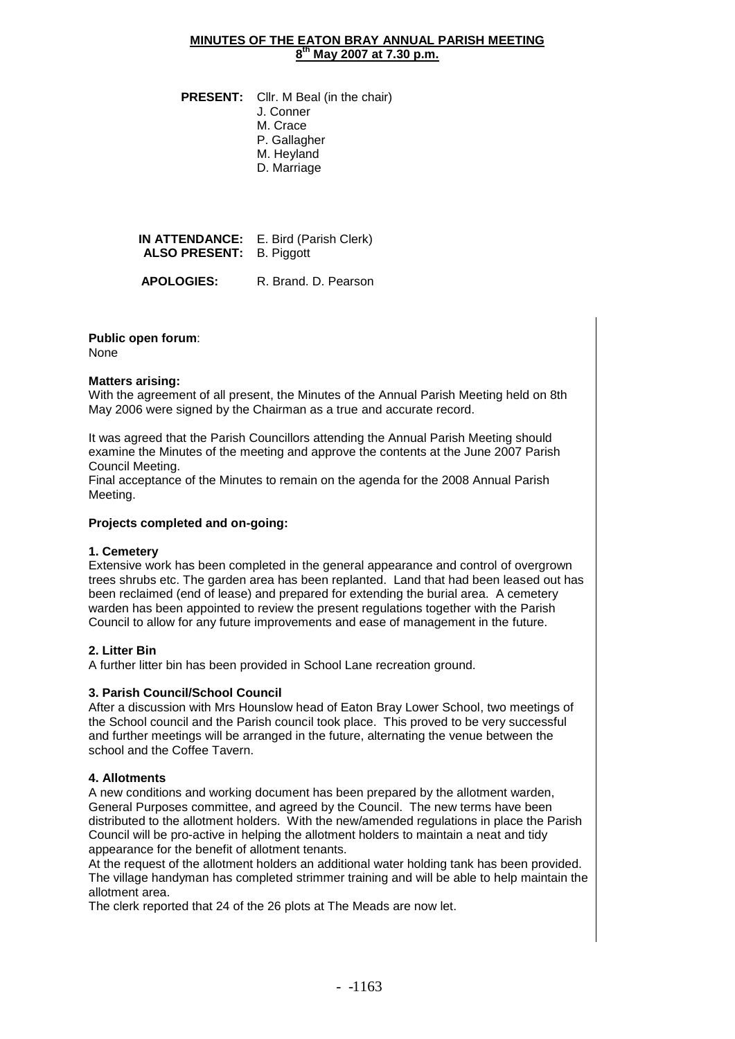### **MINUTES OF THE EATON BRAY ANNUAL PARISH MEETING 8 th May 2007 at 7.30 p.m.**

**PRESENT:** Cllr. M Beal (in the chair) J. Conner M. Crace P. Gallagher M. Heyland D. Marriage

**IN ATTENDANCE:** E. Bird (Parish Clerk) **ALSO PRESENT:** B. Piggott

> **APOLOGIES:**  R. Brand. D. Pearson

**Public open forum**: None

# **Matters arising:**

With the agreement of all present, the Minutes of the Annual Parish Meeting held on 8th May 2006 were signed by the Chairman as a true and accurate record.

It was agreed that the Parish Councillors attending the Annual Parish Meeting should examine the Minutes of the meeting and approve the contents at the June 2007 Parish Council Meeting.

Final acceptance of the Minutes to remain on the agenda for the 2008 Annual Parish Meeting.

# **Projects completed and on-going:**

# **1. Cemetery**

Extensive work has been completed in the general appearance and control of overgrown trees shrubs etc. The garden area has been replanted. Land that had been leased out has been reclaimed (end of lease) and prepared for extending the burial area. A cemetery warden has been appointed to review the present regulations together with the Parish Council to allow for any future improvements and ease of management in the future.

# **2. Litter Bin**

A further litter bin has been provided in School Lane recreation ground.

# **3. Parish Council/School Council**

After a discussion with Mrs Hounslow head of Eaton Bray Lower School, two meetings of the School council and the Parish council took place. This proved to be very successful and further meetings will be arranged in the future, alternating the venue between the school and the Coffee Tavern.

# **4. Allotments**

A new conditions and working document has been prepared by the allotment warden, General Purposes committee, and agreed by the Council. The new terms have been distributed to the allotment holders. With the new/amended regulations in place the Parish Council will be pro-active in helping the allotment holders to maintain a neat and tidy appearance for the benefit of allotment tenants.

At the request of the allotment holders an additional water holding tank has been provided. The village handyman has completed strimmer training and will be able to help maintain the allotment area.

The clerk reported that 24 of the 26 plots at The Meads are now let.